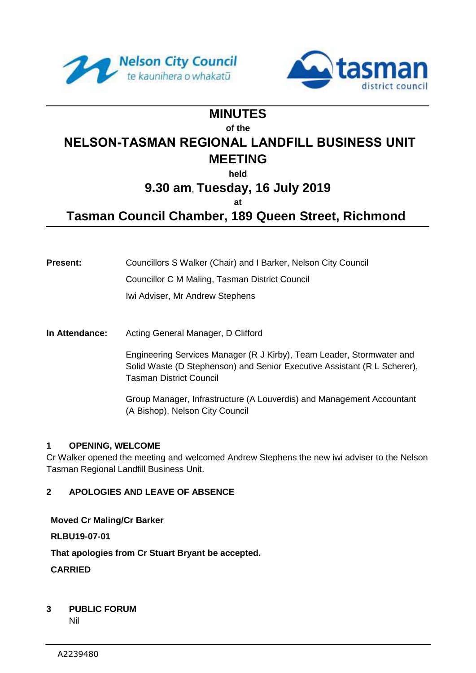



# **MINUTES of the NELSON-TASMAN REGIONAL LANDFILL BUSINESS UNIT MEETING**

**held**

# **9.30 am**, **Tuesday, 16 July 2019**

**at**

**Tasman Council Chamber, 189 Queen Street, Richmond**

**Present:** Councillors S Walker (Chair) and I Barker, Nelson City Council Councillor C M Maling, Tasman District Council

Iwi Adviser, Mr Andrew Stephens

**In Attendance:** Acting General Manager, D Clifford

Engineering Services Manager (R J Kirby), Team Leader, Stormwater and Solid Waste (D Stephenson) and Senior Executive Assistant (R L Scherer), Tasman District Council

Group Manager, Infrastructure (A Louverdis) and Management Accountant (A Bishop), Nelson City Council

# **1 OPENING, WELCOME**

Cr Walker opened the meeting and welcomed Andrew Stephens the new iwi adviser to the Nelson Tasman Regional Landfill Business Unit.

# **2 APOLOGIES AND LEAVE OF ABSENCE**

**Moved Cr Maling/Cr Barker**

**RLBU19-07-01**

**That apologies from Cr Stuart Bryant be accepted.**

**CARRIED**

# **3 PUBLIC FORUM**

Nil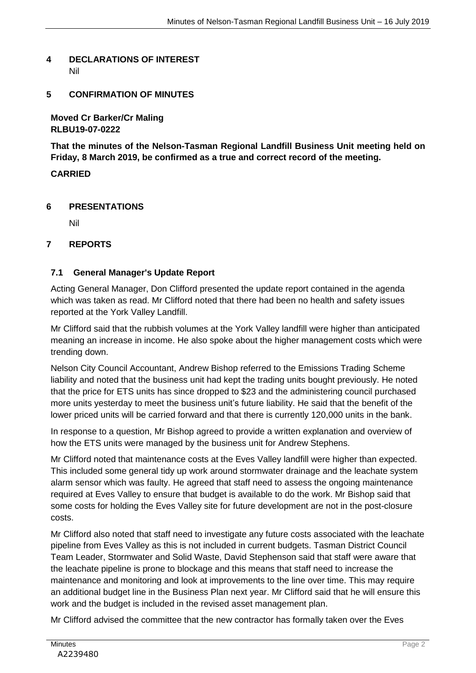# **4 DECLARATIONS OF INTEREST** Nil

# **5 CONFIRMATION OF MINUTES**

**Moved Cr Barker/Cr Maling RLBU19-07-0222**

**That the minutes of the Nelson-Tasman Regional Landfill Business Unit meeting held on Friday, 8 March 2019, be confirmed as a true and correct record of the meeting.**

# **CARRIED**

#### **6 PRESENTATIONS**

Nil

# **7 REPORTS**

# **7.1 General Manager's Update Report**

Acting General Manager, Don Clifford presented the update report contained in the agenda which was taken as read. Mr Clifford noted that there had been no health and safety issues reported at the York Valley Landfill.

Mr Clifford said that the rubbish volumes at the York Valley landfill were higher than anticipated meaning an increase in income. He also spoke about the higher management costs which were trending down.

Nelson City Council Accountant, Andrew Bishop referred to the Emissions Trading Scheme liability and noted that the business unit had kept the trading units bought previously. He noted that the price for ETS units has since dropped to \$23 and the administering council purchased more units yesterday to meet the business unit's future liability. He said that the benefit of the lower priced units will be carried forward and that there is currently 120,000 units in the bank.

In response to a question, Mr Bishop agreed to provide a written explanation and overview of how the ETS units were managed by the business unit for Andrew Stephens.

Mr Clifford noted that maintenance costs at the Eves Valley landfill were higher than expected. This included some general tidy up work around stormwater drainage and the leachate system alarm sensor which was faulty. He agreed that staff need to assess the ongoing maintenance required at Eves Valley to ensure that budget is available to do the work. Mr Bishop said that some costs for holding the Eves Valley site for future development are not in the post-closure costs.

Mr Clifford also noted that staff need to investigate any future costs associated with the leachate pipeline from Eves Valley as this is not included in current budgets. Tasman District Council Team Leader, Stormwater and Solid Waste, David Stephenson said that staff were aware that the leachate pipeline is prone to blockage and this means that staff need to increase the maintenance and monitoring and look at improvements to the line over time. This may require an additional budget line in the Business Plan next year. Mr Clifford said that he will ensure this work and the budget is included in the revised asset management plan.

Mr Clifford advised the committee that the new contractor has formally taken over the Eves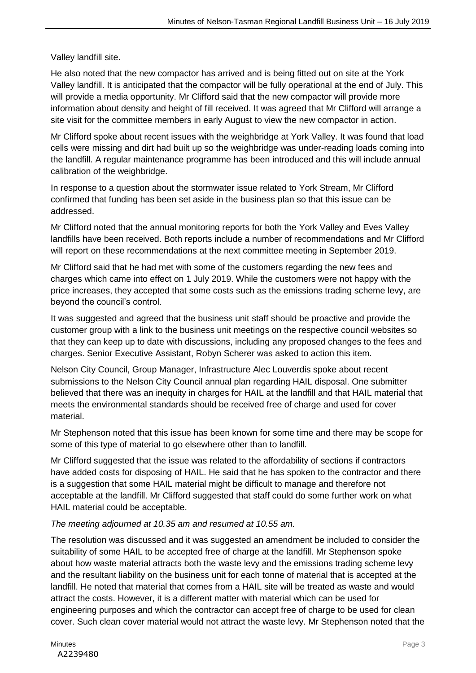Valley landfill site.

He also noted that the new compactor has arrived and is being fitted out on site at the York Valley landfill. It is anticipated that the compactor will be fully operational at the end of July. This will provide a media opportunity. Mr Clifford said that the new compactor will provide more information about density and height of fill received. It was agreed that Mr Clifford will arrange a site visit for the committee members in early August to view the new compactor in action.

Mr Clifford spoke about recent issues with the weighbridge at York Valley. It was found that load cells were missing and dirt had built up so the weighbridge was under-reading loads coming into the landfill. A regular maintenance programme has been introduced and this will include annual calibration of the weighbridge.

In response to a question about the stormwater issue related to York Stream, Mr Clifford confirmed that funding has been set aside in the business plan so that this issue can be addressed.

Mr Clifford noted that the annual monitoring reports for both the York Valley and Eves Valley landfills have been received. Both reports include a number of recommendations and Mr Clifford will report on these recommendations at the next committee meeting in September 2019.

Mr Clifford said that he had met with some of the customers regarding the new fees and charges which came into effect on 1 July 2019. While the customers were not happy with the price increases, they accepted that some costs such as the emissions trading scheme levy, are beyond the council's control.

It was suggested and agreed that the business unit staff should be proactive and provide the customer group with a link to the business unit meetings on the respective council websites so that they can keep up to date with discussions, including any proposed changes to the fees and charges. Senior Executive Assistant, Robyn Scherer was asked to action this item.

Nelson City Council, Group Manager, Infrastructure Alec Louverdis spoke about recent submissions to the Nelson City Council annual plan regarding HAIL disposal. One submitter believed that there was an inequity in charges for HAIL at the landfill and that HAIL material that meets the environmental standards should be received free of charge and used for cover material.

Mr Stephenson noted that this issue has been known for some time and there may be scope for some of this type of material to go elsewhere other than to landfill.

Mr Clifford suggested that the issue was related to the affordability of sections if contractors have added costs for disposing of HAIL. He said that he has spoken to the contractor and there is a suggestion that some HAIL material might be difficult to manage and therefore not acceptable at the landfill. Mr Clifford suggested that staff could do some further work on what HAIL material could be acceptable.

# *The meeting adjourned at 10.35 am and resumed at 10.55 am.*

The resolution was discussed and it was suggested an amendment be included to consider the suitability of some HAIL to be accepted free of charge at the landfill. Mr Stephenson spoke about how waste material attracts both the waste levy and the emissions trading scheme levy and the resultant liability on the business unit for each tonne of material that is accepted at the landfill. He noted that material that comes from a HAIL site will be treated as waste and would attract the costs. However, it is a different matter with material which can be used for engineering purposes and which the contractor can accept free of charge to be used for clean cover. Such clean cover material would not attract the waste levy. Mr Stephenson noted that the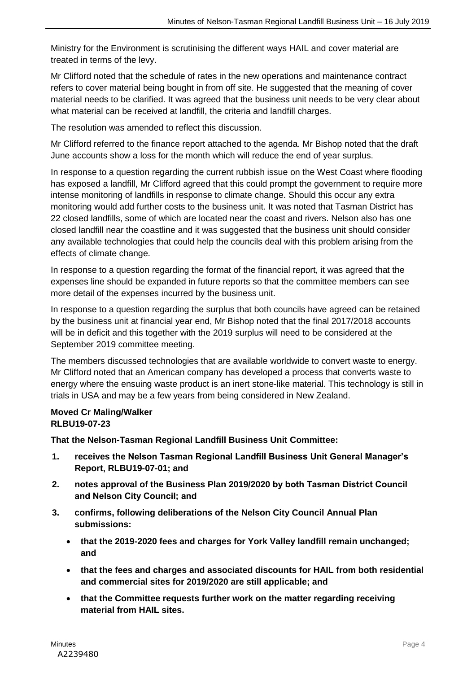Ministry for the Environment is scrutinising the different ways HAIL and cover material are treated in terms of the levy.

Mr Clifford noted that the schedule of rates in the new operations and maintenance contract refers to cover material being bought in from off site. He suggested that the meaning of cover material needs to be clarified. It was agreed that the business unit needs to be very clear about what material can be received at landfill, the criteria and landfill charges.

The resolution was amended to reflect this discussion.

Mr Clifford referred to the finance report attached to the agenda. Mr Bishop noted that the draft June accounts show a loss for the month which will reduce the end of year surplus.

In response to a question regarding the current rubbish issue on the West Coast where flooding has exposed a landfill, Mr Clifford agreed that this could prompt the government to require more intense monitoring of landfills in response to climate change. Should this occur any extra monitoring would add further costs to the business unit. It was noted that Tasman District has 22 closed landfills, some of which are located near the coast and rivers. Nelson also has one closed landfill near the coastline and it was suggested that the business unit should consider any available technologies that could help the councils deal with this problem arising from the effects of climate change.

In response to a question regarding the format of the financial report, it was agreed that the expenses line should be expanded in future reports so that the committee members can see more detail of the expenses incurred by the business unit.

In response to a question regarding the surplus that both councils have agreed can be retained by the business unit at financial year end, Mr Bishop noted that the final 2017/2018 accounts will be in deficit and this together with the 2019 surplus will need to be considered at the September 2019 committee meeting.

The members discussed technologies that are available worldwide to convert waste to energy. Mr Clifford noted that an American company has developed a process that converts waste to energy where the ensuing waste product is an inert stone-like material. This technology is still in trials in USA and may be a few years from being considered in New Zealand.

# **Moved Cr Maling/Walker RLBU19-07-23**

**That the Nelson-Tasman Regional Landfill Business Unit Committee:**

- **1. receives the Nelson Tasman Regional Landfill Business Unit General Manager's Report, RLBU19-07-01; and**
- **2. notes approval of the Business Plan 2019/2020 by both Tasman District Council and Nelson City Council; and**
- **3. confirms, following deliberations of the Nelson City Council Annual Plan submissions:**
	- **that the 2019-2020 fees and charges for York Valley landfill remain unchanged; and**
	- **that the fees and charges and associated discounts for HAIL from both residential and commercial sites for 2019/2020 are still applicable; and**
	- **that the Committee requests further work on the matter regarding receiving material from HAIL sites.**